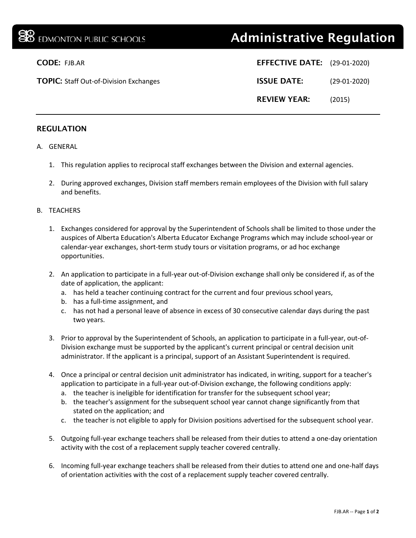## **BE EDMONTON PUBLIC SCHOOLS Administrative Regulation**

|     | <b>EFFECTIVE DATE:</b> (29-01-2020) |                |
|-----|-------------------------------------|----------------|
| ges | <b>ISSUE DATE:</b>                  | $(29-01-2020)$ |
|     | <b>REVIEW YEAR:</b>                 | (2015)         |

# **CODE: FJB.AR**

**TOPIC: Staff Out-of-Division Exchan** 

### REGULATION

- A. GENERAL
	- 1. This regulation applies to reciprocal staff exchanges between the Division and external agencies.
	- 2. During approved exchanges, Division staff members remain employees of the Division with full salary and benefits.

#### B. TEACHERS

- 1. Exchanges considered for approval by the Superintendent of Schools shall be limited to those under the auspices of Alberta Education's Alberta Educator Exchange Programs which may include school-year or calendar-year exchanges, short-term study tours or visitation programs, or ad hoc exchange opportunities.
- 2. An application to participate in a full-year out-of-Division exchange shall only be considered if, as of the date of application, the applicant:
	- a. has held a teacher continuing contract for the current and four previous school years,
	- b. has a full-time assignment, and
	- c. has not had a personal leave of absence in excess of 30 consecutive calendar days during the past two years.
- 3. Prior to approval by the Superintendent of Schools, an application to participate in a full-year, out-of-Division exchange must be supported by the applicant's current principal or central decision unit administrator. If the applicant is a principal, support of an Assistant Superintendent is required.
- 4. Once a principal or central decision unit administrator has indicated, in writing, support for a teacher's application to participate in a full-year out-of-Division exchange, the following conditions apply:
	- a. the teacher is ineligible for identification for transfer for the subsequent school year;
	- b. the teacher's assignment for the subsequent school year cannot change significantly from that stated on the application; and
	- c. the teacher is not eligible to apply for Division positions advertised for the subsequent school year.
- 5. Outgoing full-year exchange teachers shall be released from their duties to attend a one-day orientation activity with the cost of a replacement supply teacher covered centrally.
- 6. Incoming full-year exchange teachers shall be released from their duties to attend one and one-half days of orientation activities with the cost of a replacement supply teacher covered centrally.